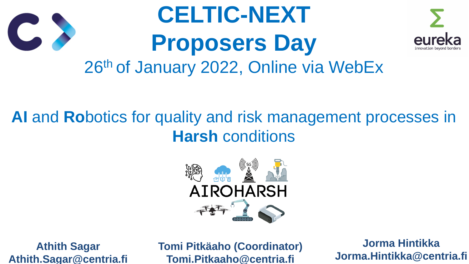

## **AI** and **Ro**botics for quality and risk management processes in **Harsh** conditions





# **CELTIC-NEXT Proposers Day** 26th of January 2022, Online via WebEx



**Athith Sagar Athith.Sagar@centria.fi** **Tomi Pitkäaho (Coordinator) Tomi.Pitkaaho@centria.fi**

### **Jorma Hintikka Jorma.Hintikka@centria.fi**



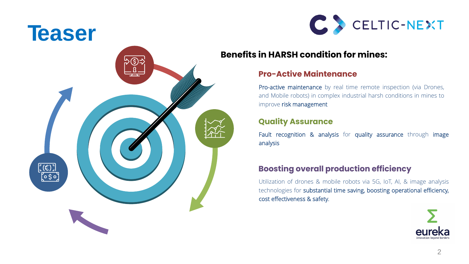











#### **Pro-Active Maintenance**

Pro-active maintenance by real time remote inspection (via Drones, and Mobile robots) in complex industrial harsh conditions in mines to improve risk management

Fault recognition & analysis for quality assurance through image analysis

#### **Quality Assurance**

#### **Boosting overall production efficiency**

Utilization of drones & mobile robots via 5G, IoT, AI, & image analysis technologies for substantial time saving, boosting operational efficiency, cost effectiveness & safety.



#### **Benefits in HARSH condition for mines:**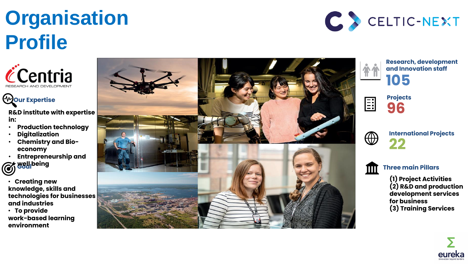# **Organisation Profile**





**Projects 96**



#### **Research, development and Innovation staff 105**

**International Projects 22**



**Three main Pillars** 

**(1) Project Activities (2) R&D and production development services for business (3) Training Services** 



• **Creating new knowledge, skills and technologies for businesses and industries**

• **To provide work -based learning environment**







## **Our Expertise**

**R&D institute with expertise in:** 

- **Production technology**
- **Digitalization**
- **Chemistry and Bioeconomy**
- **Entrepreneurship and**
- **Goal well being**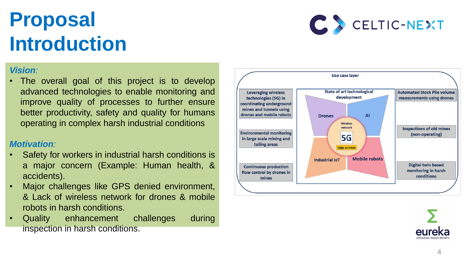# **Proposal Introduction**

#### *Vision :*

• The overall goal of this project is to develop advanced technologies to enable monitoring and improve quality of processes to further ensure better productivity, safety and quality for humans operating in complex harsh industrial conditions

#### *Motivation:*

- Safety for workers in industrial harsh conditions is a major concern (Example: Human health, & accidents) .
- Major challenges like GPS denied environment, & Lack of wireless network for drones & mobile robots in harsh conditions .
- Quality enhancement challenges during inspection in harsh conditions .





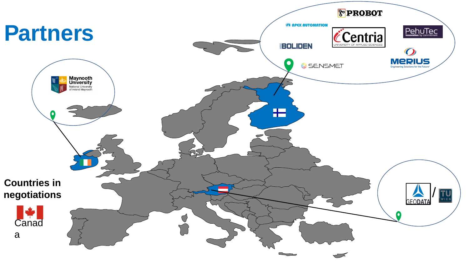



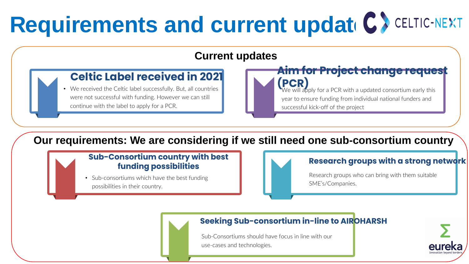

• Sub-consortiums which have the best funding possibilities in their country.



#### **Sub-Consortium country with best funding possibilities**

Research groups who can bring with them suitable SME's/Companies.

#### **Research groups with a strong network**

Sub-Consortiums should have focus in line with our use-cases and technologies.

#### **Celtic Label received in 2021 Aim for Project change request (PCR)**  We will apply for a PCR with a updated consortium early this year to ensure funding from individual national funders and successful kick-off of the project

#### **Seeking Sub-consortium in-line to AIROHARSH**

# **Requirements and current updat C>CELTIC-NEXT**

## **Current updates**

## **Our requirements: We are considering if we still need one sub-consortium country**

• We received the Celtic label successfully. But, all countries were not successful with funding. However we can still continue with the label to apply for a PCR.